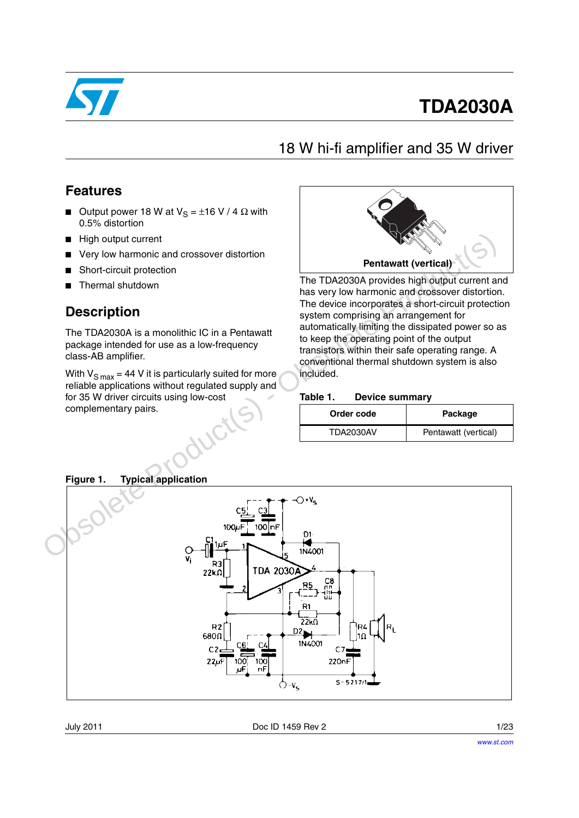

# **TDA2030A**

### 18 W hi-fi amplifier and 35 W driver

### <span id="page-0-0"></span>**Features**

- Output power 18 W at  $V_S = \pm 16$  V / 4 Ω with 0.5% distortion
- High output current
- Very low harmonic and crossover distortion
- Short-circuit protection
- Thermal shutdown

### **Description**

The TDA2030A is a monolithic IC in a Pentawatt package intended for use as a low-frequency class-AB amplifier.

With  $V_{S max} = 44 V$  it is particularly suited for more reliable applications without regulated supply and for 35 W driver circuits using low-cost complementary pairs.



The TDA2030A provides high output current and has very low harmonic and crossover distortion. The device incorporates a short-circuit protection system comprising an arrangement for automatically limiting the dissipated power so as to keep the operating point of the output transistors within their safe operating range. A conventional thermal shutdown system is also included.

#### <span id="page-0-1"></span>Table 1. **Device summary**

| Order code       | Package              |
|------------------|----------------------|
| <b>TDA2030AV</b> | Pentawatt (vertical) |



### **Figure 1. Typical application**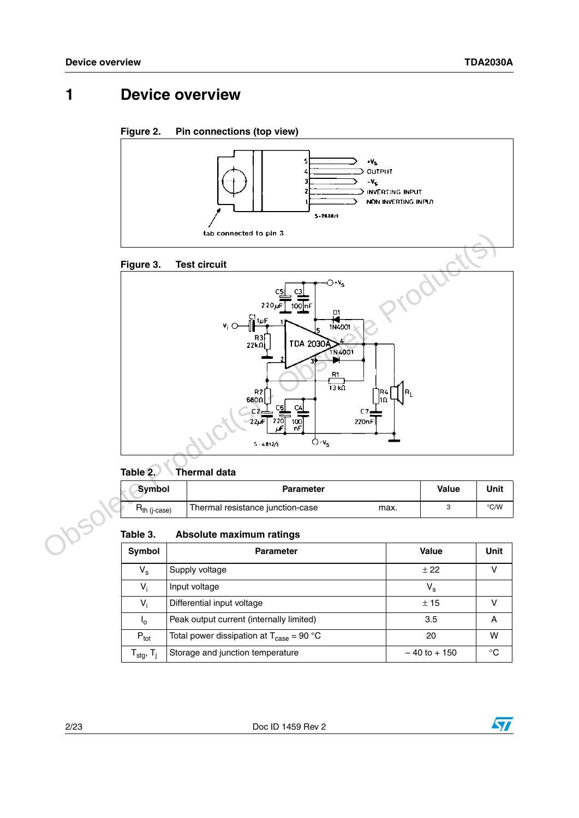## **1 Device overview**

#### **Figure 2. Pin connections (top view)**



### **Figure 3. Test circuit**



### **Table 2. Thermal data**

| Symbol              | <b>Parameter</b>                         | Value | Unit |
|---------------------|------------------------------------------|-------|------|
| $\n  7$ th (j-case) | Thermal resistance junction-case<br>max. |       | °C/W |

#### **Table 3. Absolute maximum ratings**

| Symbol                                    | <b>Parameter</b>                                            | Value           | Unit |
|-------------------------------------------|-------------------------------------------------------------|-----------------|------|
| $V_{\rm s}$                               | Supply voltage                                              | ± 22            |      |
| V,                                        | Input voltage                                               | v <sub>s</sub>  |      |
| V <sub>i</sub>                            | Differential input voltage                                  | ±15             |      |
| $I_{\Omega}$                              | Peak output current (internally limited)                    | 3.5             | А    |
| $P_{\text{tot}}$                          | Total power dissipation at $T_{\text{case}} = 90 \degree C$ | 20              | w    |
| $\mathsf{T}_{\sf stg},\mathsf{T}_{\sf j}$ | Storage and junction temperature                            | $-40$ to $+150$ | ℃    |

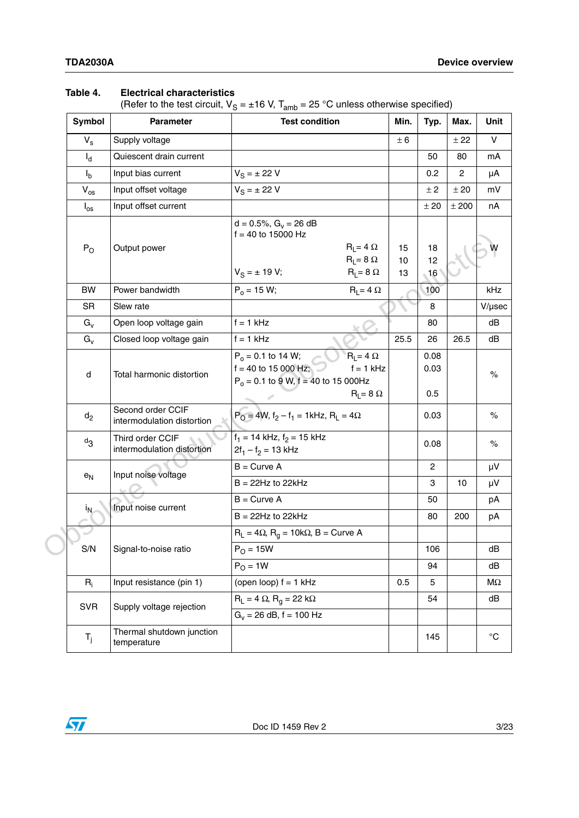### **Table 4. Electrical characteristics**

(Refer to the test circuit,  $V_S = \pm 16$  V,  $T_{amb} = 25$  °C unless otherwise specified)

|  | Symbol                                                   | <b>Parameter</b>                               | <b>Test condition</b>                                                                                                                           | Min.           | Typ.                | Max.           | Unit              |
|--|----------------------------------------------------------|------------------------------------------------|-------------------------------------------------------------------------------------------------------------------------------------------------|----------------|---------------------|----------------|-------------------|
|  | $V_{\rm s}$                                              | Supply voltage                                 |                                                                                                                                                 | ± 6            |                     | ± 22           | V                 |
|  | $I_d$<br>Quiescent drain current                         |                                                |                                                                                                                                                 |                | 50                  | 80             | mA                |
|  | $I_{b}$                                                  | Input bias current                             | $V_S = \pm 22 V$                                                                                                                                |                | 0.2                 | $\overline{c}$ | μA                |
|  | $V_{os}$                                                 | Input offset voltage                           | $V_S = \pm 22 V$                                                                                                                                |                | ± 2                 | ± 20           | mV                |
|  | $I_{\rm os}$                                             | Input offset current                           |                                                                                                                                                 |                | ± 20                | ± 200          | nA                |
|  | $P_{O}$<br>Output power                                  |                                                | $d = 0.5\%, G_v = 26 dB$<br>$f = 40$ to 15000 Hz<br>$R_L = 4 \Omega$<br>$R_L = 8 \Omega$<br>$V_S = \pm 19 V;$<br>$R_L = 8 \Omega$               | 15<br>10<br>13 | 18<br>12<br>16      |                |                   |
|  | <b>BW</b>                                                | Power bandwidth                                | $P_0 = 15 W;$<br>$R_1 = 4 \Omega$                                                                                                               |                | 100                 |                | kHz               |
|  | <b>SR</b>                                                | Slew rate                                      |                                                                                                                                                 |                | 8                   |                | $V/\mu$ sec       |
|  | $G_v$                                                    | Open loop voltage gain                         | $f = 1$ kHz                                                                                                                                     |                | 80                  |                | dB                |
|  | $G_v$                                                    | Closed loop voltage gain                       | $f = 1$ kHz                                                                                                                                     | 25.5           | 26                  | 26.5           | dB                |
|  | d                                                        | Total harmonic distortion                      | $P_0 = 0.1$ to 14 W;<br>$R_1 = 4 \Omega$<br>$f = 40$ to 15 000 Hz;<br>$f = 1$ kHz<br>$P_0 = 0.1$ to 9 W, f = 40 to 15 000Hz<br>$R_L = 8 \Omega$ |                | 0.08<br>0.03<br>0.5 |                | $\%$              |
|  | Second order CCIF<br>$d_2$<br>intermodulation distortion |                                                | $P_0 = 4W$ , $f_2 - f_1 = 1$ kHz, $R_L = 4\Omega$                                                                                               |                | 0.03                |                | $\%$              |
|  | $d_{3}$                                                  | Third order CCIF<br>intermodulation distortion | $f_1 = 14$ kHz, $f_2 = 15$ kHz<br>$2f_1 - f_2 = 13$ kHz                                                                                         |                | 0.08                |                | $\%$              |
|  | $e_N$                                                    | Input noise voltage                            | $B =$ Curve A                                                                                                                                   |                | 2                   |                | μV                |
|  |                                                          |                                                | $B = 22Hz$ to 22kHz                                                                                                                             |                | 3                   | 10             | μV                |
|  |                                                          | Input noise current                            | $B =$ Curve A                                                                                                                                   |                | 50                  |                | pA                |
|  | <sup>i</sup> N.                                          |                                                | $B = 22Hz$ to 22kHz                                                                                                                             |                | 80                  | 200            | рA                |
|  |                                                          |                                                | $R_L = 4\Omega$ , $R_q = 10k\Omega$ , B = Curve A                                                                                               |                |                     |                |                   |
|  | S/N                                                      | Signal-to-noise ratio                          | $P_{O} = 15W$                                                                                                                                   |                | 106                 |                | dВ                |
|  |                                                          |                                                | $PO = 1W$                                                                                                                                       |                | 94                  |                | dB                |
|  | $R_i$                                                    | Input resistance (pin 1)                       | (open loop) $f = 1$ kHz                                                                                                                         | 0.5            | 5                   |                | $M\Omega$         |
|  | <b>SVR</b>                                               | Supply voltage rejection                       | $R_L = 4 \Omega$ , $R_q = 22 k\Omega$                                                                                                           |                | 54                  |                | dB                |
|  |                                                          |                                                | $G_v = 26$ dB, f = 100 Hz                                                                                                                       |                |                     |                |                   |
|  | $T_j$                                                    | Thermal shutdown junction<br>temperature       |                                                                                                                                                 |                | 145                 |                | $^{\circ}{\rm C}$ |

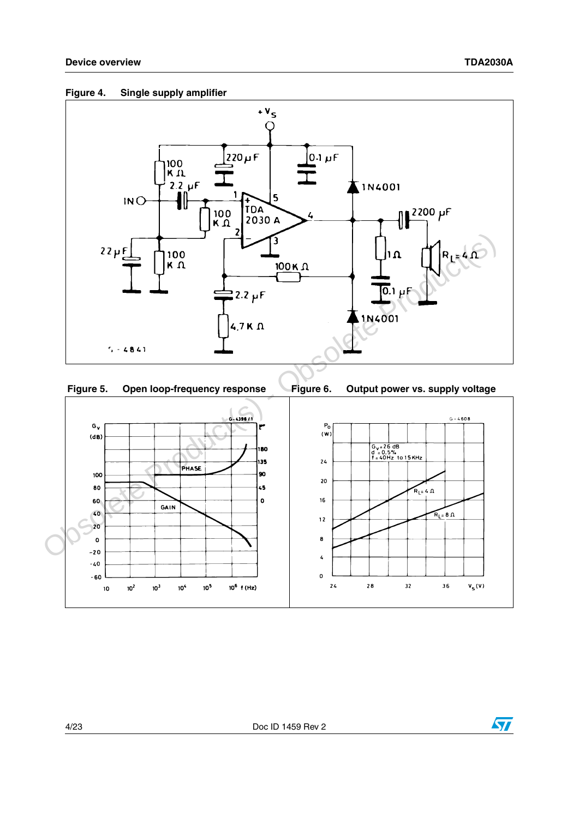







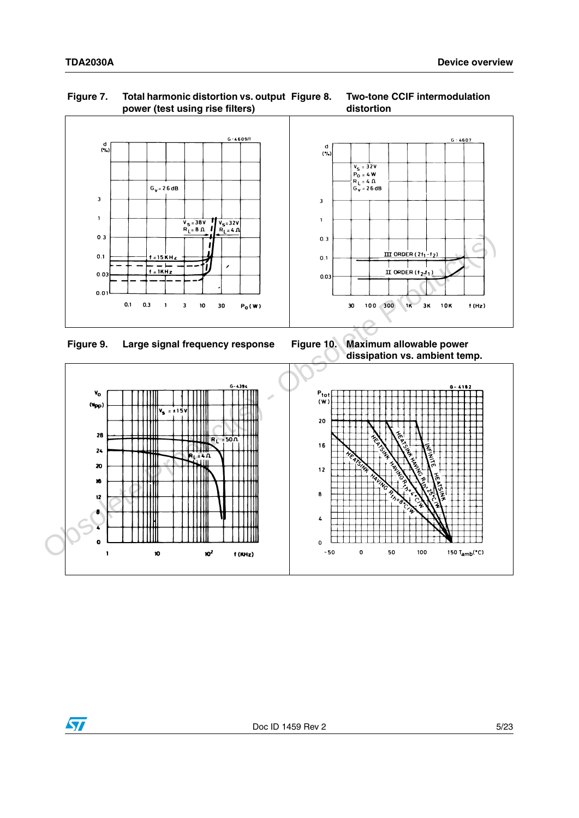

#### **Figure 7. Total harmonic distortion vs. output power (test using rise filters) Figure 8. Two-tone CCIF intermodulation distortion**







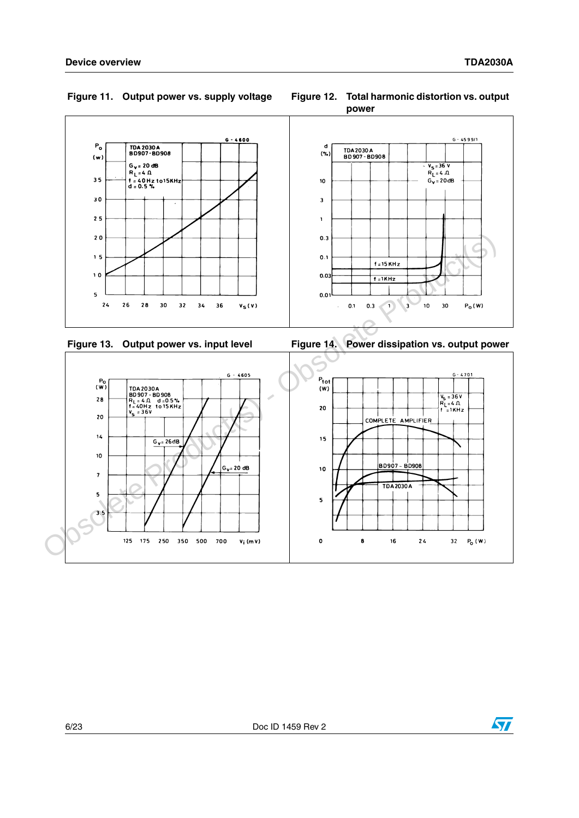

#### Figure 11. Output power vs. supply voltage









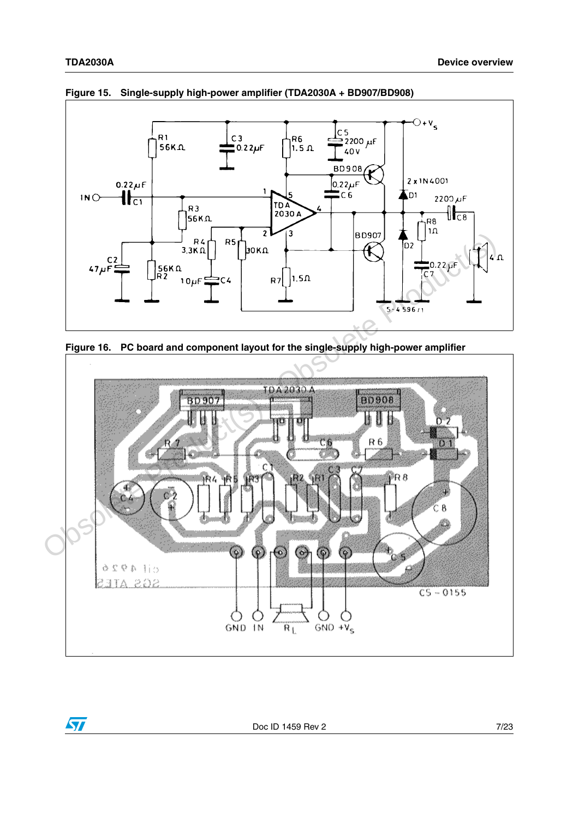$\sqrt{2}$ 



**Figure 15. Single-supply high-power amplifier (TDA2030A + BD907/BD908)**





Doc ID 1459 Rev 2 7/23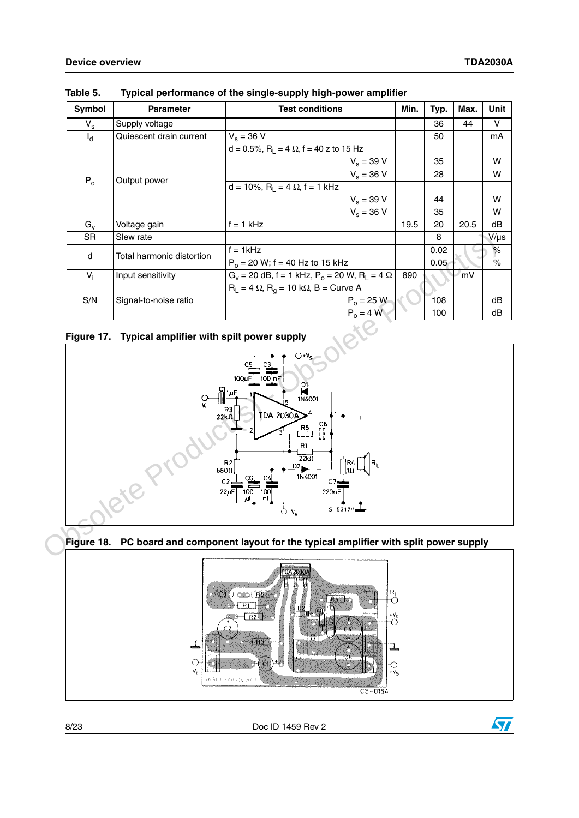| Symbol      | <b>Parameter</b>          | <b>Test conditions</b>                                                       |      | Typ. | Max. | Unit      |
|-------------|---------------------------|------------------------------------------------------------------------------|------|------|------|-----------|
| $V_{\rm s}$ | Supply voltage            |                                                                              |      | 36   | 44   | v         |
| $I_d$       | Quiescent drain current   | $V_s = 36 V$                                                                 |      | 50   |      | mA        |
|             |                           | $d = 0.5\%, R_1 = 4 \Omega$ , f = 40 z to 15 Hz                              |      |      |      |           |
|             |                           | $V_s = 39 V$                                                                 |      | 35   |      | w         |
|             |                           | $V_s = 36 V$                                                                 |      | 28   |      | W         |
| $P_0$       | Output power              | d = 10%, $R_L$ = 4 $\Omega$ , f = 1 kHz                                      |      |      |      |           |
|             |                           | $V_s = 39 V$                                                                 |      | 44   |      | w         |
|             |                           | $V_s = 36 V$                                                                 |      | 35   |      | W         |
| $G_v$       | Voltage gain              | $f = 1$ kHz                                                                  | 19.5 | 20   | 20.5 | dB        |
| SR.         | Slew rate                 |                                                                              |      | 8    |      | $V/\mu s$ |
|             | Total harmonic distortion | $f = 1$ kHz                                                                  |      | 0.02 |      | %         |
| d           |                           | $P_0$ = 20 W; f = 40 Hz to 15 kHz                                            |      | 0.05 |      | $\%$      |
| $V_i$       | Input sensitivity         | $G_v = 20$ dB, f = 1 kHz, P <sub>o</sub> = 20 W, R <sub>L</sub> = 4 $\Omega$ | 890  |      | m۷   |           |
| S/N         | Signal-to-noise ratio     | $R_L = 4 \Omega$ , $R_q = 10 k\Omega$ , B = Curve A                          |      |      |      |           |
|             |                           | $P_0 = 25 W$                                                                 |      | 108  |      | dB        |
|             |                           | $P_0 = 4 W$                                                                  |      | 100  |      | dB        |

**Table 5. Typical performance of the single-supply high-power amplifier**

### <span id="page-7-0"></span>**Figure 17. Typical amplifier with spilt power supply**







8/23 Doc ID 1459 Rev 2

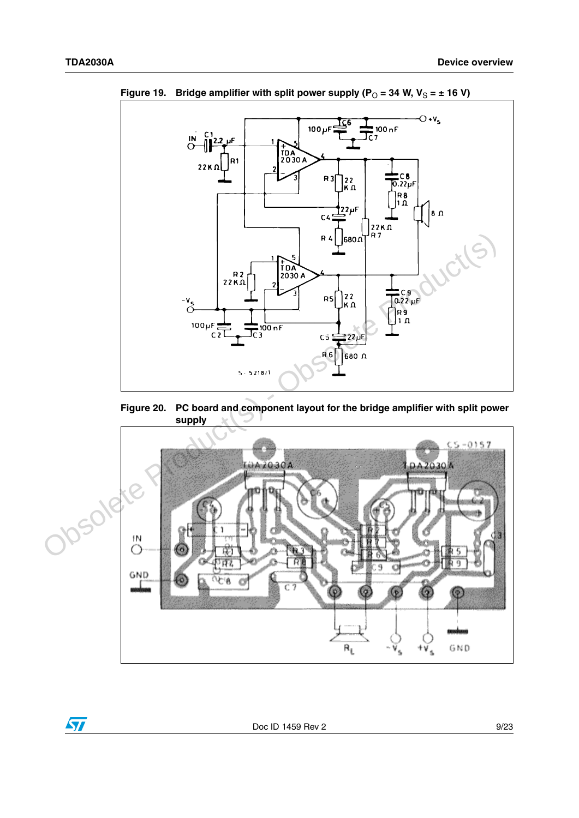

Figure 19. Bridge amplifier with split power supply  $(P_0 = 34 \text{ W}, V_S = \pm 16 \text{ V})$ 



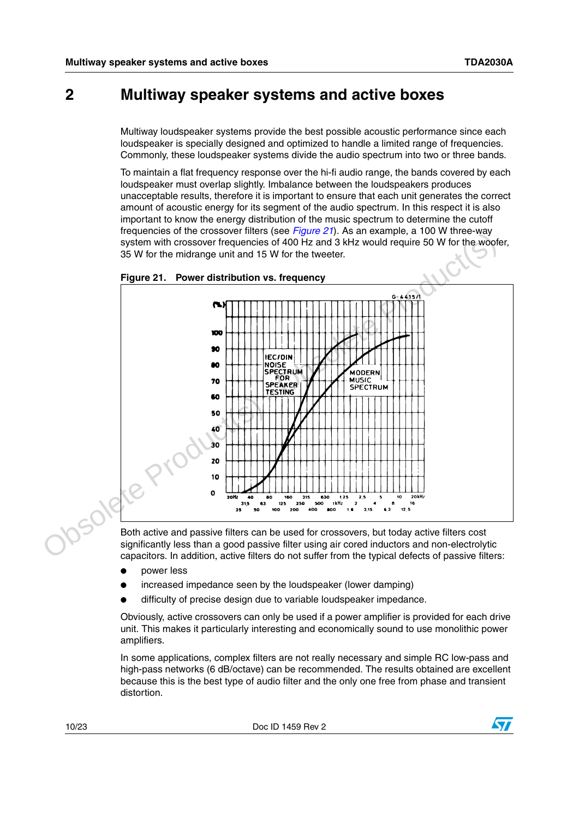### **2 Multiway speaker systems and active boxes**

Multiway loudspeaker systems provide the best possible acoustic performance since each loudspeaker is specially designed and optimized to handle a limited range of frequencies. Commonly, these loudspeaker systems divide the audio spectrum into two or three bands.

<span id="page-9-0"></span>To maintain a flat frequency response over the hi-fi audio range, the bands covered by each loudspeaker must overlap slightly. Imbalance between the loudspeakers produces unacceptable results, therefore it is important to ensure that each unit generates the correct amount of acoustic energy for its segment of the audio spectrum. In this respect it is also important to know the energy distribution of the music spectrum to determine the cutoff frequencies of the crossover filters (see *[Figure 21](#page-9-0)*). As an example, a 100 W three-way system with crossover frequencies of 400 Hz and 3 kHz would require 50 W for the woofer, 35 W for the midrange unit and 15 W for the tweeter.



significantly less than a good passive filter using air cored inductors and non-electrolytic capacitors. In addition, active filters do not suffer from the typical defects of passive filters:

- power less
- increased impedance seen by the loudspeaker (lower damping)
- difficulty of precise design due to variable loudspeaker impedance.

Obviously, active crossovers can only be used if a power amplifier is provided for each drive unit. This makes it particularly interesting and economically sound to use monolithic power amplifiers.

In some applications, complex filters are not really necessary and simple RC low-pass and high-pass networks (6 dB/octave) can be recommended. The results obtained are excellent because this is the best type of audio filter and the only one free from phase and transient distortion.

10/23 Doc ID 1459 Rev 2

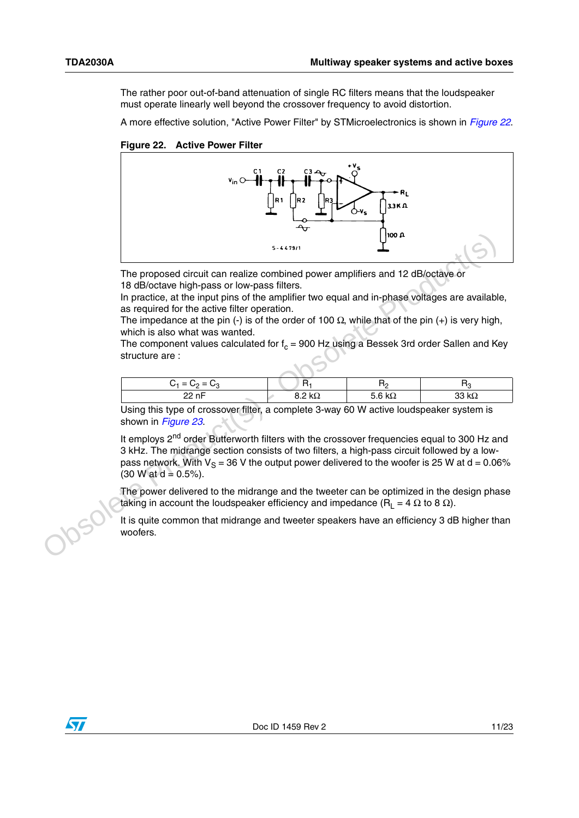The rather poor out-of-band attenuation of single RC filters means that the loudspeaker must operate linearly well beyond the crossover frequency to avoid distortion.

A more effective solution, "Active Power Filter" by STMicroelectronics is shown in *[Figure 22](#page-10-0)*.

<span id="page-10-0"></span>**Figure 22. Active Power Filter**



The proposed circuit can realize combined power amplifiers and 12 dB/octave or 18 dB/octave high-pass or low-pass filters.

In practice, at the input pins of the amplifier two equal and in-phase voltages are available, as required for the active filter operation.

The impedance at the pin (-) is of the order of 100  $\Omega$ , while that of the pin (+) is very high, which is also what was wanted.

The component values calculated for  $f_c$  = 900 Hz using a Bessek 3rd order Sallen and Key structure are :

| $C_1 = C_2 = C_3$ | -11            |              | к.           |
|-------------------|----------------|--------------|--------------|
| 22.5C<br>.        | 8.2 k $\Omega$ | にんしへ<br>65 Z | 33 $k\Omega$ |
|                   |                |              |              |

Using this type of crossover filter, a complete 3-way 60 W active loudspeaker system is shown in *Figure 23*.

It employs  $2<sup>nd</sup>$  order Butterworth filters with the crossover frequencies equal to 300 Hz and 3 kHz. The midrange section consists of two filters, a high-pass circuit followed by a lowpass network. With  $V_s = 36$  V the output power delivered to the woofer is 25 W at d = 0.06%  $(30 W at d = 0.5\%)$ . The proposed circuit can realize combined power amplifiers and 12 dB/octave or<br>18 dB/octave high-pass or low-pass illters interval and in-phase voltages are available<br>the maptaice, at the input pins of the amplifier two e

The power delivered to the midrange and the tweeter can be optimized in the design phase taking in account the loudspeaker efficiency and impedance ( $R_1 = 4 \Omega$  to 8  $\Omega$ ).

It is quite common that midrange and tweeter speakers have an efficiency 3 dB higher than woofers.

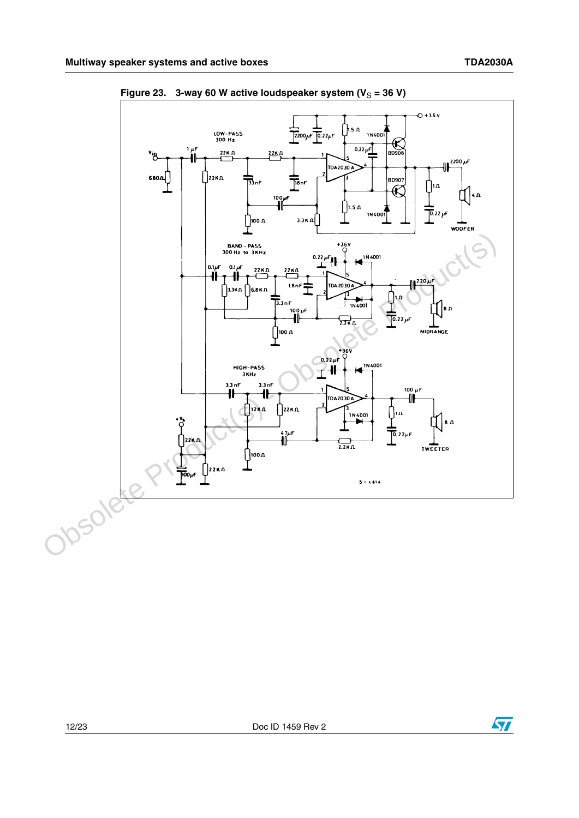

<span id="page-11-0"></span>Figure 23. 3-way 60 W active loudspeaker system  $(V_S = 36 V)$ 

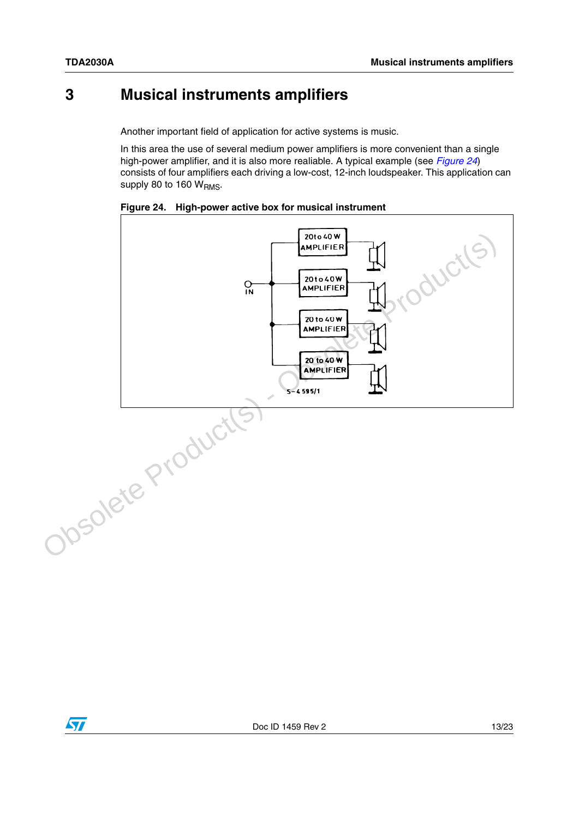## **3 Musical instruments amplifiers**

Another important field of application for active systems is music.

In this area the use of several medium power amplifiers is more convenient than a single high-power amplifier, and it is also more realiable. A typical example (see *[Figure 24](#page-12-0)*) consists of four amplifiers each driving a low-cost, 12-inch loudspeaker. This application can supply 80 to 160  $W<sub>RMS</sub>$ .



<span id="page-12-0"></span>**Figure 24. High-power active box for musical instrument**

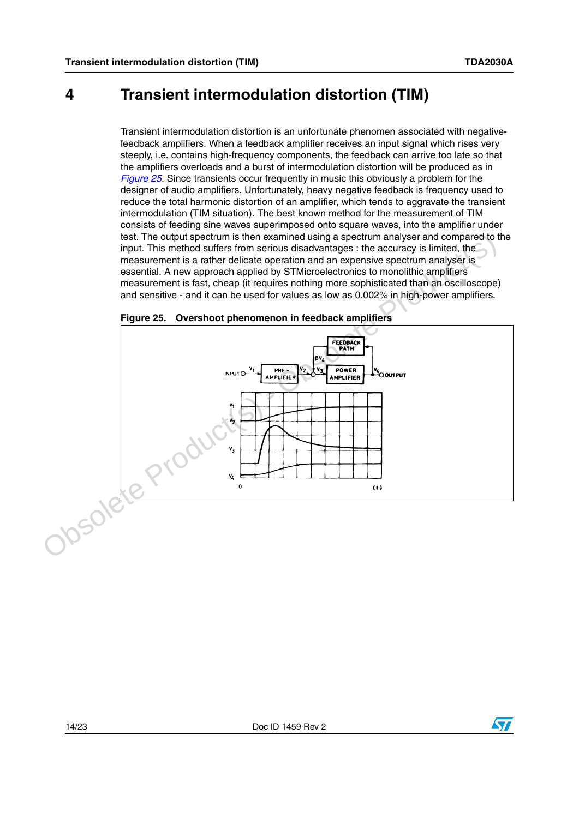### **4 Transient intermodulation distortion (TIM)**

Transient intermodulation distortion is an unfortunate phenomen associated with negativefeedback amplifiers. When a feedback amplifier receives an input signal which rises very steeply, i.e. contains high-frequency components, the feedback can arrive too late so that the amplifiers overloads and a burst of intermodulation distortion will be produced as in *[Figure 25](#page-13-0)*. Since transients occur frequently in music this obviously a problem for the designer of audio amplifiers. Unfortunately, heavy negative feedback is frequency used to reduce the total harmonic distortion of an amplifier, which tends to aggravate the transient intermodulation (TIM situation). The best known method for the measurement of TIM consists of feeding sine waves superimposed onto square waves, into the amplifier under test. The output spectrum is then examined using a spectrum analyser and compared to the input. This method suffers from serious disadvantages : the accuracy is limited, the measurement is a rather delicate operation and an expensive spectrum analyser is essential. A new approach applied by STMicroelectronics to monolithic amplifiers measurement is fast, cheap (it requires nothing more sophisticated than an oscilloscope) and sensitive - and it can be used for values as low as 0.002% in high-power amplifiers.



<span id="page-13-0"></span>**Figure 25. Overshoot phenomenon in feedback amplifiers**

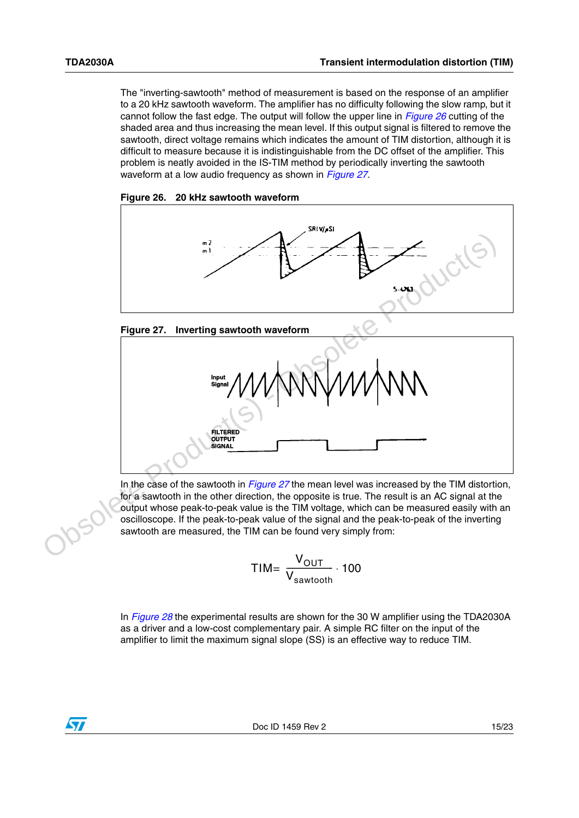$\sqrt{2}$ 

The "inverting-sawtooth" method of measurement is based on the response of an amplifier to a 20 kHz sawtooth waveform. The amplifier has no difficulty following the slow ramp, but it cannot follow the fast edge. The output will follow the upper line in *[Figure 26](#page-14-0)* cutting of the shaded area and thus increasing the mean level. If this output signal is filtered to remove the sawtooth, direct voltage remains which indicates the amount of TIM distortion, although it is difficult to measure because it is indistinguishable from the DC offset of the amplifier. This problem is neatly avoided in the IS-TIM method by periodically inverting the sawtooth waveform at a low audio frequency as shown in *[Figure 27](#page-14-1)*.

<span id="page-14-0"></span>



<span id="page-14-1"></span>



In the case of the sawtooth in *Figure 27* the mean level was increased by the TIM distortion, for a sawtooth in the other direction, the opposite is true. The result is an AC signal at the output whose peak-to-peak value is the TIM voltage, which can be measured easily with an oscilloscope. If the peak-to-peak value of the signal and the peak-to-peak of the inverting sawtooth are measured, the TIM can be found very simply from:

$$
TIME \frac{V_{OUT}}{V_{sawtooth}} \cdot 100
$$

In *[Figure 28](#page-15-0)* the experimental results are shown for the 30 W amplifier using the TDA2030A as a driver and a low-cost complementary pair. A simple RC filter on the input of the amplifier to limit the maximum signal slope (SS) is an effective way to reduce TIM.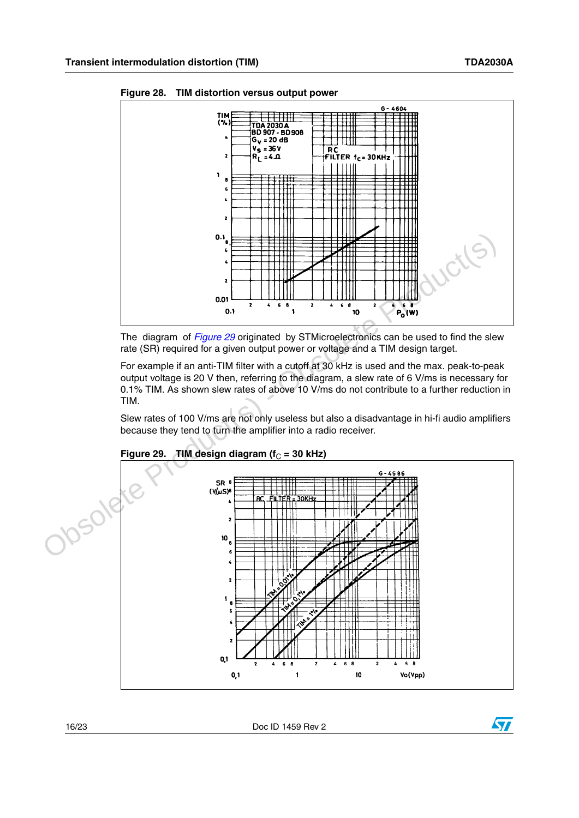

<span id="page-15-0"></span>**Figure 28. TIM distortion versus output power**

The diagram of *Figure 29* originated by STMicroelectronics can be used to find the slew rate (SR) required for a given output power or voltage and a TIM design target.

For example if an anti-TIM filter with a cutoff at 30 kHz is used and the max. peak-to-peak output voltage is 20 V then, referring to the diagram, a slew rate of 6 V/ms is necessary for 0.1% TIM. As shown slew rates of above 10 V/ms do not contribute to a further reduction in TIM.

Slew rates of 100 V/ms are not only useless but also a disadvantage in hi-fi audio amplifiers because they tend to turn the amplifier into a radio receiver.



#### <span id="page-15-1"></span>**Figure 29. TIM design diagram (** $f<sub>C</sub> = 30$  **kHz)**

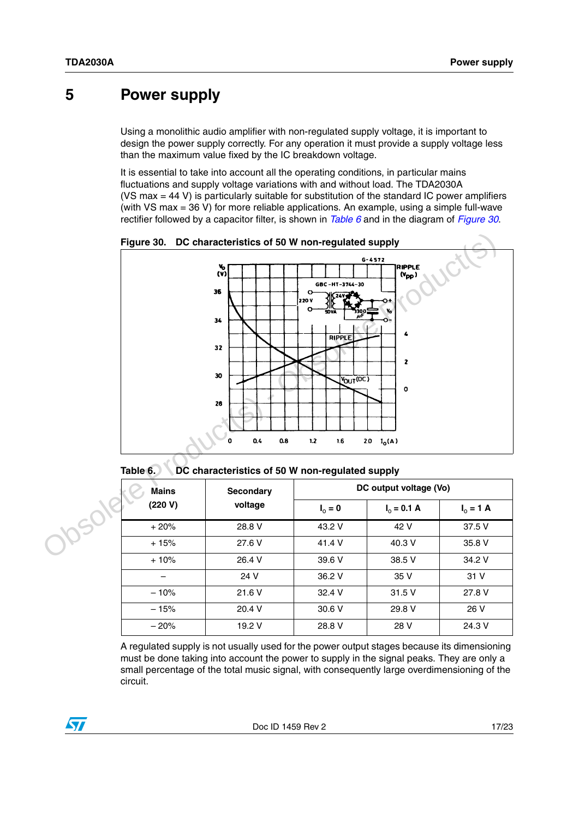### **5 Power supply**

Using a monolithic audio amplifier with non-regulated supply voltage, it is important to design the power supply correctly. For any operation it must provide a supply voltage less than the maximum value fixed by the IC breakdown voltage.

It is essential to take into account all the operating conditions, in particular mains fluctuations and supply voltage variations with and without load. The TDA2030A (VS max = 44 V) is particularly suitable for substitution of the standard IC power amplifiers (with VS max = 36 V) for more reliable applications. An example, using a simple full-wave rectifier followed by a capacitor filter, is shown in *[Table 6](#page-16-1)* and in the diagram of *[Figure 30](#page-16-0)*.



<span id="page-16-0"></span>**Figure 30. DC characteristics of 50 W non-regulated supply**

<span id="page-16-1"></span>**Table 6. DC characteristics of 50 W non-regulated supply**

| <b>Mains</b> | <b>Secondary</b><br>voltage | DC output voltage (Vo) |               |             |  |
|--------------|-----------------------------|------------------------|---------------|-------------|--|
| (220 V)      |                             | $I_0 = 0$              | $I_0 = 0.1 A$ | $I_0 = 1 A$ |  |
| $+20%$       | 28.8 V                      | 43.2 V                 | 42 V          | 37.5 V      |  |
| $+15%$       | 27.6 V                      | 41.4 V                 | 40.3 V        | 35.8 V      |  |
| $+10%$       | 26.4 V                      | 39.6 V                 | 38.5 V        | 34.2 V      |  |
|              | 24 V                        | 36.2 V                 | 35 V          | 31 V        |  |
| $-10%$       | 21.6 V                      | 32.4 V                 | 31.5V         | 27.8 V      |  |
| $-15%$       | 20.4 V                      | 30.6 V                 | 29.8 V        | 26 V        |  |
| $-20%$       | 19.2 V                      | 28.8 V                 | 28 V          | 24.3 V      |  |

A regulated supply is not usually used for the power output stages because its dimensioning must be done taking into account the power to supply in the signal peaks. They are only a small percentage of the total music signal, with consequently large overdimensioning of the circuit.

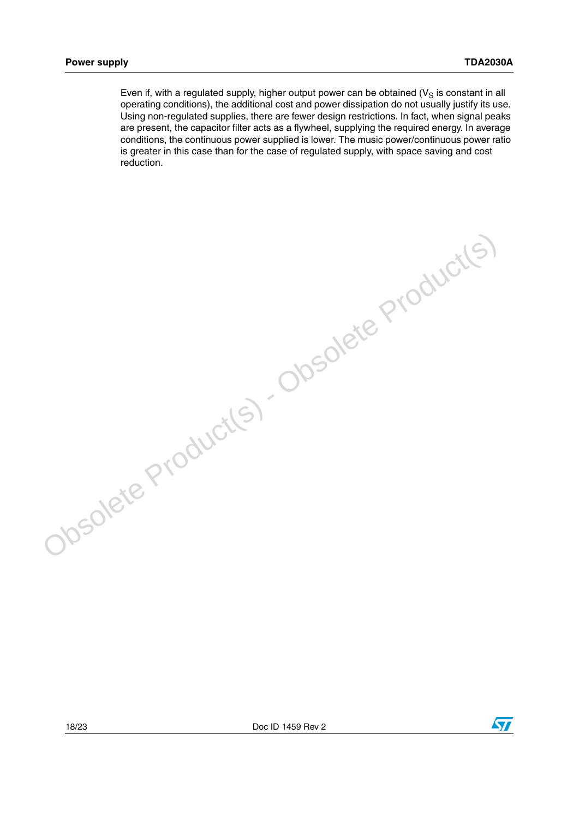Even if, with a regulated supply, higher output power can be obtained ( $V_S$  is constant in all operating conditions), the additional cost and power dissipation do not usually justify its use. Using non-regulated supplies, there are fewer design restrictions. In fact, when signal peaks are present, the capacitor filter acts as a flywheel, supplying the required energy. In average conditions, the continuous power supplied is lower. The music power/continuous power ratio is greater in this case than for the case of regulated supply, with space saving and cost reduction.

Obsolete Product(s) - Obsolete Product(s)

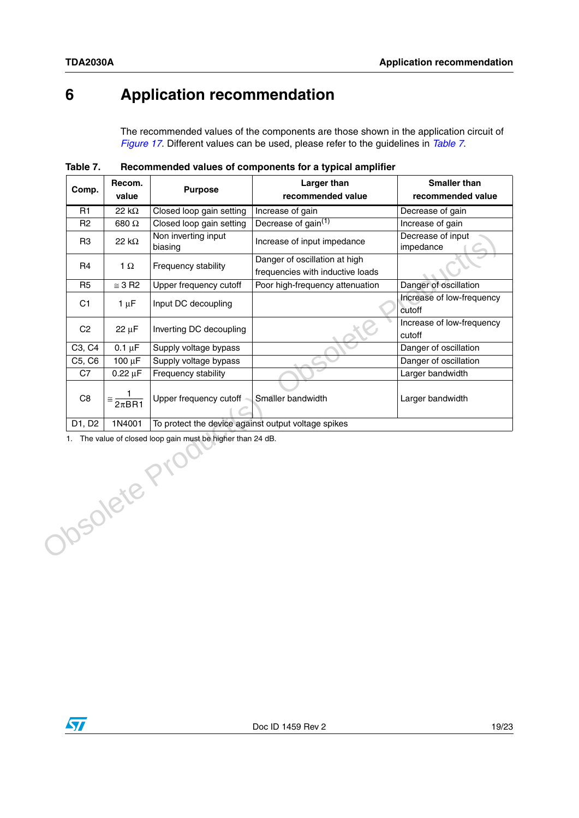## **6 Application recommendation**

The recommended values of the components are those shown in the application circuit of *[Figure 17](#page-7-0)*. Different values can be used, please refer to the guidelines in *[Table 7](#page-18-0)*.

| Comp.                                                                       | Recom.<br>value               | <b>Purpose</b>                                      | <b>Larger than</b><br>recommended value                           | <b>Smaller than</b><br>recommended value |  |
|-----------------------------------------------------------------------------|-------------------------------|-----------------------------------------------------|-------------------------------------------------------------------|------------------------------------------|--|
| R1                                                                          | $22 k\Omega$                  | Closed loop gain setting                            | Increase of gain                                                  | Decrease of gain                         |  |
| R <sub>2</sub>                                                              | 680Ω                          | Closed loop gain setting                            | Decrease of gain <sup>(1)</sup>                                   | Increase of gain                         |  |
| R <sub>3</sub>                                                              | 22 $k\Omega$                  | Non inverting input<br>biasing                      | Increase of input impedance                                       | Decrease of input<br>impedance           |  |
| R <sub>4</sub>                                                              | 1 $\Omega$                    | Frequency stability                                 | Danger of oscillation at high<br>frequencies with inductive loads |                                          |  |
| R <sub>5</sub>                                                              | $\cong$ 3 R2                  | Upper frequency cutoff                              | Poor high-frequency attenuation                                   | Danger of oscillation                    |  |
| C1                                                                          | $1 \mu F$                     | Input DC decoupling                                 |                                                                   | Increase of low-frequency<br>cutoff      |  |
| C <sub>2</sub>                                                              | $22 \mu F$                    | Inverting DC decoupling                             |                                                                   | Increase of low-frequency<br>cutoff      |  |
| C3, C4                                                                      | $0.1 \mu F$                   | Supply voltage bypass                               |                                                                   | Danger of oscillation                    |  |
| C5, C6                                                                      | 100 µF                        | Supply voltage bypass                               |                                                                   | Danger of oscillation                    |  |
| C7                                                                          | $0.22 \mu F$                  | Frequency stability                                 |                                                                   | Larger bandwidth                         |  |
| C <sub>8</sub>                                                              | $\approx \frac{1}{2\pi B R1}$ | Upper frequency cutoff                              | Smaller bandwidth                                                 | Larger bandwidth                         |  |
| D1, D2                                                                      | 1N4001                        | To protect the device against output voltage spikes |                                                                   |                                          |  |
| 1. The value of closed loop gain must be higher than 24 dB.<br>Obsolete Pro |                               |                                                     |                                                                   |                                          |  |

<span id="page-18-0"></span>**Table 7. Recommended values of components for a typical amplifier**

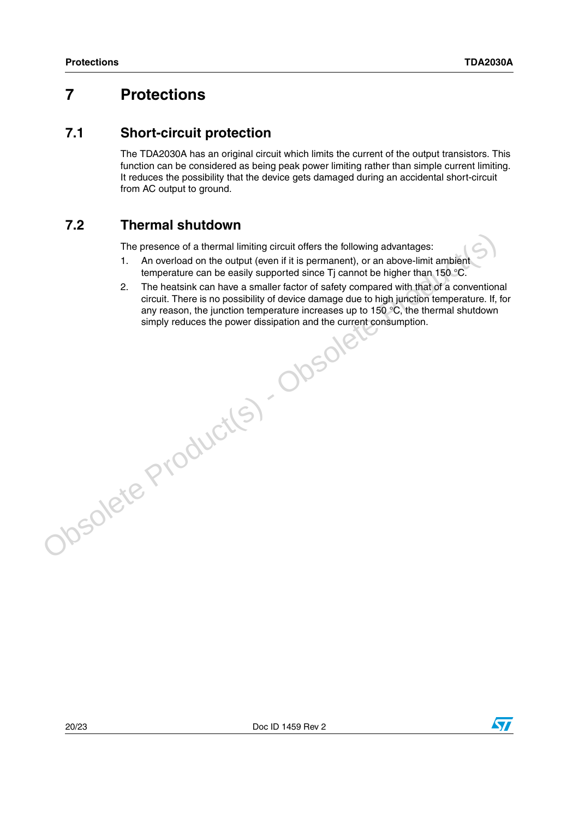### **7 Protections**

### **7.1 Short-circuit protection**

The TDA2030A has an original circuit which limits the current of the output transistors. This function can be considered as being peak power limiting rather than simple current limiting. It reduces the possibility that the device gets damaged during an accidental short-circuit from AC output to ground.

### **7.2 Thermal shutdown**

The presence of a thermal limiting circuit offers the following advantages:

- 1. An overload on the output (even if it is permanent), or an above-limit ambient temperature can be easily supported since Ti cannot be higher than 150  $\degree$ C.
- 2. The heatsink can have a smaller factor of safety compared with that of a conventional circuit. There is no possibility of device damage due to high junction temperature. If, for any reason, the junction temperature increases up to 150  $^{\circ}$ C, the thermal shutdown simply reduces the power dissipation and the current consumption.Obsolete Product(s) - Obsolete

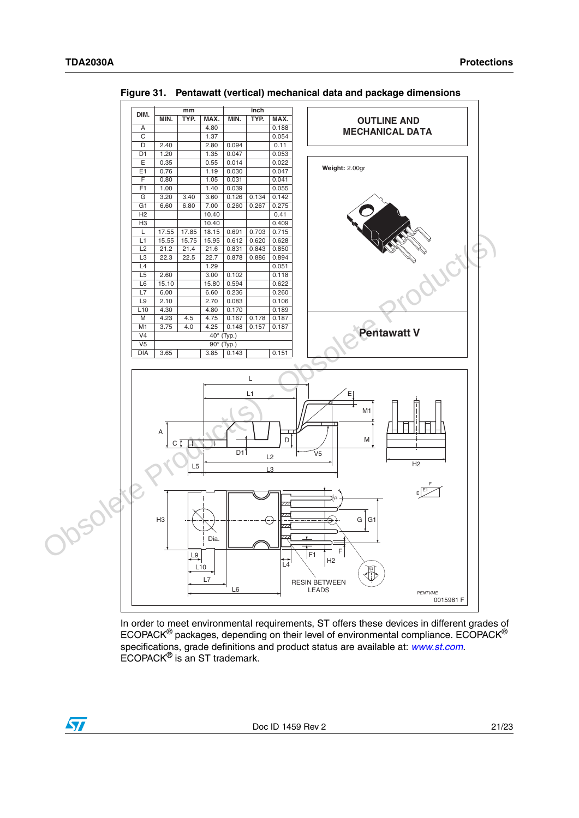ST



<span id="page-20-0"></span>**Figure 31. Pentawatt (vertical) mechanical data and package dimensions**

In order to meet environmental requirements, ST offers these devices in different grades of ECOPACK® packages, depending on their level of environmental compliance. ECOPACK® specifications, grade definitions and product status are available at: *[www.st.com](http://www.st.com)*. ECOPACK® is an ST trademark.

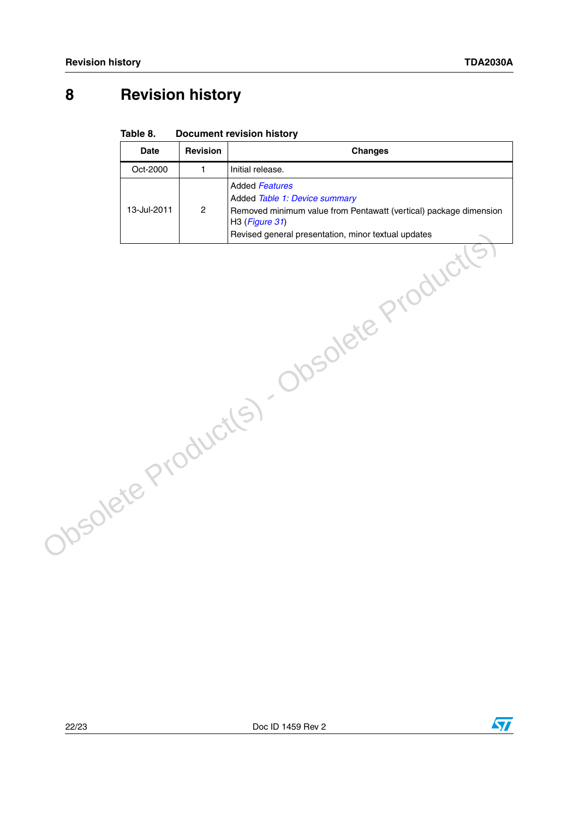## **8 Revision history**

#### Table 8. **Document revision history**

| <b>Date</b> | <b>Revision</b> | <b>Changes</b>                                                                                                                                                                                       |
|-------------|-----------------|------------------------------------------------------------------------------------------------------------------------------------------------------------------------------------------------------|
| Oct-2000    | $\mathbf{1}$    | Initial release.                                                                                                                                                                                     |
| 13-Jul-2011 | $\overline{c}$  | <b>Added Features</b><br>Added Table 1: Device summary<br>Removed minimum value from Pentawatt (vertical) package dimension<br>H3 (Figure 31)<br>Revised general presentation, minor textual updates |
|             |                 | Obsolete Product(s) - Obsolete Product(                                                                                                                                                              |